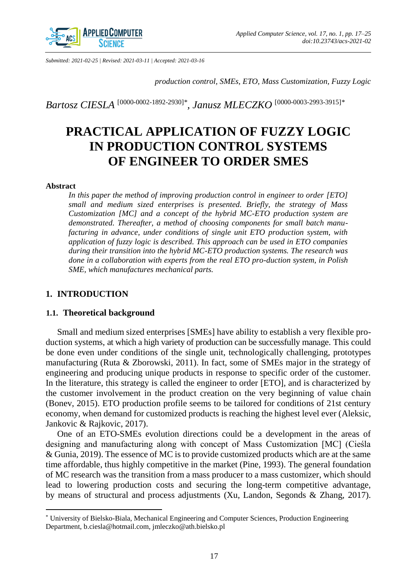

*Submitted: 2021-02-25 | Revised: 2021-03-11 | Accepted: 2021-03-16*

*production control, SMEs, ETO, Mass Customization, Fuzzy Logic*

*Bartosz CIESLA* [\[0000-0002-1892-2930\]](https://orcid.org/0000-0002-1892-2930)*\* , Janusz MLECZKO* [\[0000-0003-2993-3915\]](https://orcid.org/0000-0003-2993-3915)*\**

# **PRACTICAL APPLICATION OF FUZZY LOGIC IN PRODUCTION CONTROL SYSTEMS OF ENGINEER TO ORDER SMES**

#### **Abstract**

 $\overline{\phantom{a}}$ 

*In this paper the method of improving production control in engineer to order [ETO] small and medium sized enterprises is presented. Briefly, the strategy of Mass Customization [MC] and a concept of the hybrid MC-ETO production system are demonstrated. Thereafter, a method of choosing components for small batch manufacturing in advance, under conditions of single unit ETO production system, with application of fuzzy logic is described. This approach can be used in ETO companies during their transition into the hybrid MC-ETO production systems. The research was done in a collaboration with experts from the real ETO pro-duction system, in Polish SME, which manufactures mechanical parts.*

### **1. INTRODUCTION**

#### **1.1. Theoretical background**

Small and medium sized enterprises [SMEs] have ability to establish a very flexible production systems, at which a high variety of production can be successfully manage. This could be done even under conditions of the single unit, technologically challenging, prototypes manufacturing (Ruta & Zborowski, 2011). In fact, some of SMEs major in the strategy of engineering and producing unique products in response to specific order of the customer. In the literature, this strategy is called the engineer to order [ETO], and is characterized by the customer involvement in the product creation on the very beginning of value chain (Bonev, 2015). ETO production profile seems to be tailored for conditions of 21st century economy, when demand for customized products is reaching the highest level ever (Aleksic, Jankovic & Rajkovic, 2017).

One of an ETO-SMEs evolution directions could be a development in the areas of designing and manufacturing along with concept of Mass Customization [MC] (Cieśla & Gunia, 2019). The essence of MC is to provide customized products which are at the same time affordable, thus highly competitive in the market (Pine, 1993). The general foundation of MC research was the transition from a mass producer to a mass customizer, which should lead to lowering production costs and securing the long-term competitive advantage, by means of structural and process adjustments (Xu, Landon, Segonds & Zhang, 2017).

<sup>\*</sup> University of Bielsko-Biala, Mechanical Engineering and Computer Sciences, Production Engineering Department, b.ciesla@hotmail.com, jmleczko@ath.bielsko.pl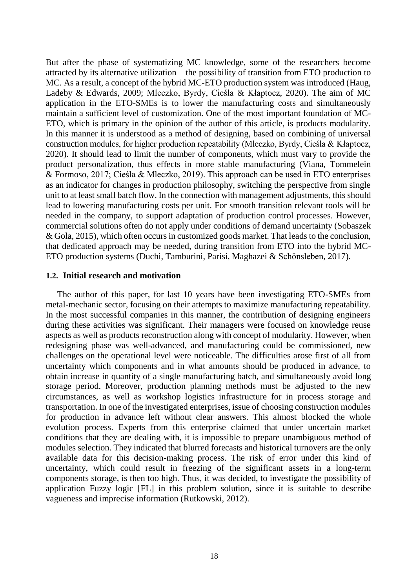But after the phase of systematizing MC knowledge, some of the researchers become attracted by its alternative utilization – the possibility of transition from ETO production to MC. As a result, a concept of the hybrid MC-ETO production system was introduced (Haug, Ladeby & Edwards, 2009; Mleczko, Byrdy, Cieśla & Kłaptocz, 2020). The aim of MC application in the ETO-SMEs is to lower the manufacturing costs and simultaneously maintain a sufficient level of customization. One of the most important foundation of MC-ETO, which is primary in the opinion of the author of this article, is products modularity. In this manner it is understood as a method of designing, based on combining of universal construction modules, for higher production repeatability (Mleczko, Byrdy, Cieśla & Kłaptocz, 2020). It should lead to limit the number of components, which must vary to provide the product personalization, thus effects in more stable manufacturing (Viana, Tommelein & Formoso, 2017; Cieśla & Mleczko, 2019). This approach can be used in ETO enterprises as an indicator for changes in production philosophy, switching the perspective from single unit to at least small batch flow. In the connection with management adjustments, this should lead to lowering manufacturing costs per unit. For smooth transition relevant tools will be needed in the company, to support adaptation of production control processes. However, commercial solutions often do not apply under conditions of demand uncertainty (Sobaszek & Gola, 2015), which often occurs in customized goods market. That leads to the conclusion, that dedicated approach may be needed, during transition from ETO into the hybrid MC-ETO production systems (Duchi, Tamburini, Parisi, Maghazei & Schönsleben, 2017).

# **1.2. Initial research and motivation**

The author of this paper, for last 10 years have been investigating ETO-SMEs from metal-mechanic sector, focusing on their attempts to maximize manufacturing repeatability. In the most successful companies in this manner, the contribution of designing engineers during these activities was significant. Their managers were focused on knowledge reuse aspects as well as products reconstruction along with concept of modularity. However, when redesigning phase was well-advanced, and manufacturing could be commissioned, new challenges on the operational level were noticeable. The difficulties arose first of all from uncertainty which components and in what amounts should be produced in advance, to obtain increase in quantity of a single manufacturing batch, and simultaneously avoid long storage period. Moreover, production planning methods must be adjusted to the new circumstances, as well as workshop logistics infrastructure for in process storage and transportation. In one of the investigated enterprises, issue of choosing construction modules for production in advance left without clear answers. This almost blocked the whole evolution process. Experts from this enterprise claimed that under uncertain market conditions that they are dealing with, it is impossible to prepare unambiguous method of modules selection. They indicated that blurred forecasts and historical turnovers are the only available data for this decision-making process. The risk of error under this kind of uncertainty, which could result in freezing of the significant assets in a long-term components storage, is then too high. Thus, it was decided, to investigate the possibility of application Fuzzy logic [FL] in this problem solution, since it is suitable to describe vagueness and imprecise information (Rutkowski, 2012).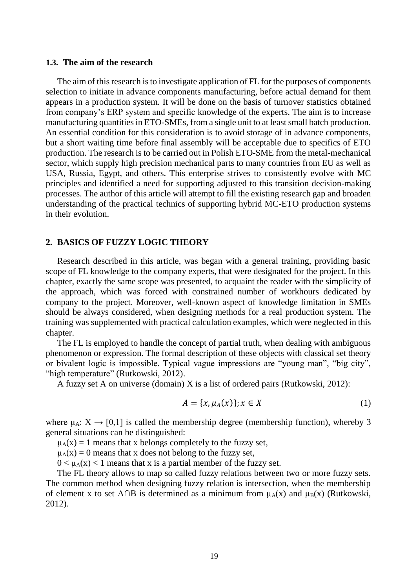#### **1.3. The aim of the research**

The aim of this research is to investigate application of FL for the purposes of components selection to initiate in advance components manufacturing, before actual demand for them appears in a production system. It will be done on the basis of turnover statistics obtained from company's ERP system and specific knowledge of the experts. The aim is to increase manufacturing quantities in ETO-SMEs, from a single unit to at least small batch production. An essential condition for this consideration is to avoid storage of in advance components, but a short waiting time before final assembly will be acceptable due to specifics of ETO production. The research is to be carried out in Polish ETO-SME from the metal-mechanical sector, which supply high precision mechanical parts to many countries from EU as well as USA, Russia, Egypt, and others. This enterprise strives to consistently evolve with MC principles and identified a need for supporting adjusted to this transition decision-making processes. The author of this article will attempt to fill the existing research gap and broaden understanding of the practical technics of supporting hybrid MC-ETO production systems in their evolution.

#### **2. BASICS OF FUZZY LOGIC THEORY**

Research described in this article, was began with a general training, providing basic scope of FL knowledge to the company experts, that were designated for the project. In this chapter, exactly the same scope was presented, to acquaint the reader with the simplicity of the approach, which was forced with constrained number of workhours dedicated by company to the project. Moreover, well-known aspect of knowledge limitation in SMEs should be always considered, when designing methods for a real production system. The training was supplemented with practical calculation examples, which were neglected in this chapter.

The FL is employed to handle the concept of partial truth, when dealing with ambiguous phenomenon or expression. The formal description of these objects with classical set theory or bivalent logic is impossible. Typical vague impressions are "young man", "big city", "high temperature" (Rutkowski, 2012).

A fuzzy set A on universe (domain) X is a list of ordered pairs (Rutkowski, 2012):

$$
A = \{x, \mu_A(x)\}; x \in X \tag{1}
$$

where  $\mu_A: X \to [0,1]$  is called the membership degree (membership function), whereby 3 general situations can be distinguished:

 $\mu_A(x) = 1$  means that x belongs completely to the fuzzy set,

 $\mu_A(x) = 0$  means that x does not belong to the fuzzy set,

 $0 \leq \mu_A(x) < 1$  means that x is a partial member of the fuzzy set.

The FL theory allows to map so called fuzzy relations between two or more fuzzy sets. The common method when designing fuzzy relation is intersection, when the membership of element x to set A∩B is determined as a minimum from  $\mu_A(x)$  and  $\mu_B(x)$  (Rutkowski, 2012).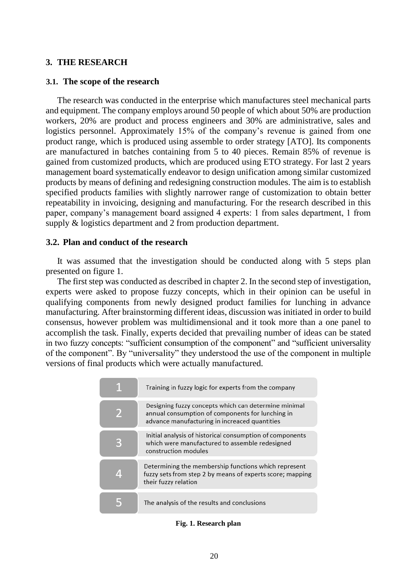# **3. THE RESEARCH**

#### **3.1. The scope of the research**

The research was conducted in the enterprise which manufactures steel mechanical parts and equipment. The company employs around 50 people of which about 50% are production workers, 20% are product and process engineers and 30% are administrative, sales and logistics personnel. Approximately 15% of the company's revenue is gained from one product range, which is produced using assemble to order strategy [ATO]. Its components are manufactured in batches containing from 5 to 40 pieces. Remain 85% of revenue is gained from customized products, which are produced using ETO strategy. For last 2 years management board systematically endeavor to design unification among similar customized products by means of defining and redesigning construction modules. The aim is to establish specified products families with slightly narrower range of customization to obtain better repeatability in invoicing, designing and manufacturing. For the research described in this paper, company's management board assigned 4 experts: 1 from sales department, 1 from supply & logistics department and 2 from production department.

# **3.2. Plan and conduct of the research**

It was assumed that the investigation should be conducted along with 5 steps plan presented on figure 1.

The first step was conducted as described in chapter 2. In the second step of investigation, experts were asked to propose fuzzy concepts, which in their opinion can be useful in qualifying components from newly designed product families for lunching in advance manufacturing. After brainstorming different ideas, discussion was initiated in order to build consensus, however problem was multidimensional and it took more than a one panel to accomplish the task. Finally, experts decided that prevailing number of ideas can be stated in two fuzzy concepts: "sufficient consumption of the component" and "sufficient universality of the component". By "universality" they understood the use of the component in multiple versions of final products which were actually manufactured.

| Training in fuzzy logic for experts from the company                                                                                                      |
|-----------------------------------------------------------------------------------------------------------------------------------------------------------|
| Designing fuzzy concepts which can determine minimal<br>annual consumption of components for lunching in<br>advance manufacturing in increaced quantities |
| Initial analysis of historical consumption of components<br>which were manufactured to assemble redesigned<br>construction modules                        |
| Determining the membership functions which represent<br>fuzzy sets from step 2 by means of experts score; mapping<br>their fuzzy relation                 |
| The analysis of the results and conclusions                                                                                                               |

**Fig. 1. Research plan**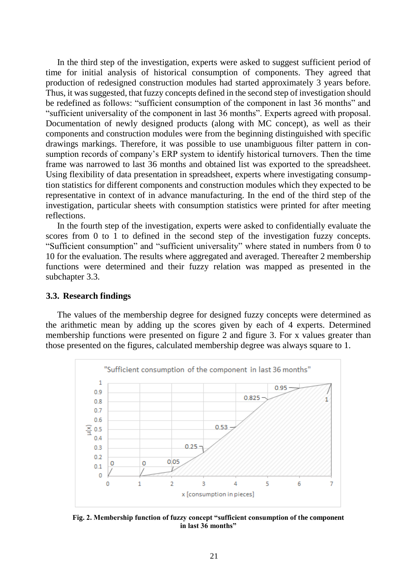In the third step of the investigation, experts were asked to suggest sufficient period of time for initial analysis of historical consumption of components. They agreed that production of redesigned construction modules had started approximately 3 years before. Thus, it was suggested, that fuzzy concepts defined in the second step of investigation should be redefined as follows: "sufficient consumption of the component in last 36 months" and "sufficient universality of the component in last 36 months". Experts agreed with proposal. Documentation of newly designed products (along with MC concept), as well as their components and construction modules were from the beginning distinguished with specific drawings markings. Therefore, it was possible to use unambiguous filter pattern in consumption records of company's ERP system to identify historical turnovers. Then the time frame was narrowed to last 36 months and obtained list was exported to the spreadsheet. Using flexibility of data presentation in spreadsheet, experts where investigating consumption statistics for different components and construction modules which they expected to be representative in context of in advance manufacturing. In the end of the third step of the investigation, particular sheets with consumption statistics were printed for after meeting reflections.

In the fourth step of the investigation, experts were asked to confidentially evaluate the scores from 0 to 1 to defined in the second step of the investigation fuzzy concepts. "Sufficient consumption" and "sufficient universality" where stated in numbers from 0 to 10 for the evaluation. The results where aggregated and averaged. Thereafter 2 membership functions were determined and their fuzzy relation was mapped as presented in the subchapter 3.3.

#### **3.3. Research findings**

The values of the membership degree for designed fuzzy concepts were determined as the arithmetic mean by adding up the scores given by each of 4 experts. Determined membership functions were presented on figure 2 and figure 3. For x values greater than those presented on the figures, calculated membership degree was always square to 1.



**Fig. 2. Membership function of fuzzy concept "sufficient consumption of the component in last 36 months"**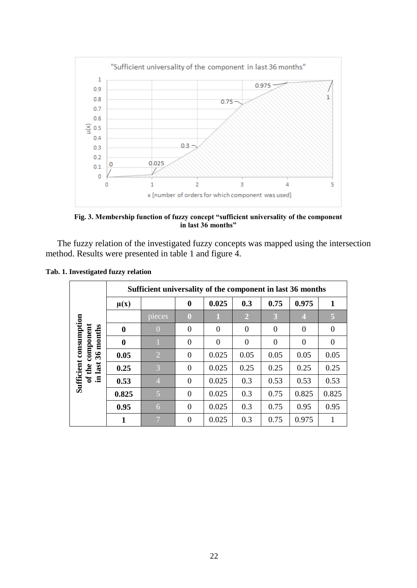

**Fig. 3. Membership function of fuzzy concept "sufficient universality of the component in last 36 months"**

The fuzzy relation of the investigated fuzzy concepts was mapped using the intersection method. Results were presented in table 1 and figure 4.

|  | Tab. 1. Investigated fuzzy relation |  |
|--|-------------------------------------|--|
|  |                                     |  |

|                                                                                              | Sufficient universality of the component in last 36 months |                |                |          |                |          |          |          |  |  |
|----------------------------------------------------------------------------------------------|------------------------------------------------------------|----------------|----------------|----------|----------------|----------|----------|----------|--|--|
|                                                                                              | $\mu(x)$                                                   |                | $\bf{0}$       | 0.025    | 0.3            | 0.75     | 0.975    | 1        |  |  |
| consumption<br>component<br>months<br>$\mathcal{L}$<br>Sufficient<br>last<br>the<br>ัธ<br>.크 |                                                            | pieces         | $\bf{0}$       |          | $\overline{2}$ | 3        | 4        | 5        |  |  |
|                                                                                              | $\bf{0}$                                                   | $\Omega$       | $\theta$       | $\theta$ | $\theta$       | $\theta$ | $\Omega$ | $\Omega$ |  |  |
|                                                                                              | $\bf{0}$                                                   |                | $\theta$       | $\theta$ | $\theta$       | $\Omega$ | $\Omega$ | $\Omega$ |  |  |
|                                                                                              | 0.05                                                       | $\overline{2}$ | $\overline{0}$ | 0.025    | 0.05           | 0.05     | 0.05     | 0.05     |  |  |
|                                                                                              | 0.25                                                       | 3              | $\overline{0}$ | 0.025    | 0.25           | 0.25     | 0.25     | 0.25     |  |  |
|                                                                                              | 0.53                                                       | $\overline{4}$ | $\theta$       | 0.025    | 0.3            | 0.53     | 0.53     | 0.53     |  |  |
|                                                                                              | 0.825                                                      | 5              | $\theta$       | 0.025    | 0.3            | 0.75     | 0.825    | 0.825    |  |  |
|                                                                                              | 0.95                                                       | 6              | $\overline{0}$ | 0.025    | 0.3            | 0.75     | 0.95     | 0.95     |  |  |
|                                                                                              | 1                                                          | $\overline{ }$ | $\theta$       | 0.025    | 0.3            | 0.75     | 0.975    |          |  |  |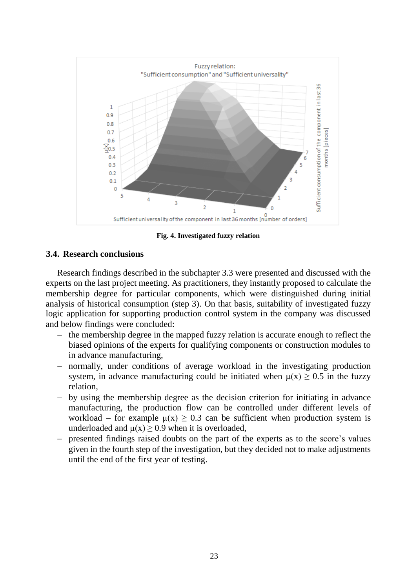

**Fig. 4. Investigated fuzzy relation**

# **3.4. Research conclusions**

Research findings described in the subchapter 3.3 were presented and discussed with the experts on the last project meeting. As practitioners, they instantly proposed to calculate the membership degree for particular components, which were distinguished during initial analysis of historical consumption (step 3). On that basis, suitability of investigated fuzzy logic application for supporting production control system in the company was discussed and below findings were concluded:

- $-$  the membership degree in the mapped fuzzy relation is accurate enough to reflect the biased opinions of the experts for qualifying components or construction modules to in advance manufacturing,
- normally, under conditions of average workload in the investigating production system, in advance manufacturing could be initiated when  $\mu(x) \geq 0.5$  in the fuzzy relation,
- by using the membership degree as the decision criterion for initiating in advance manufacturing, the production flow can be controlled under different levels of workload – for example  $\mu(x) \geq 0.3$  can be sufficient when production system is underloaded and  $\mu(x) \ge 0.9$  when it is overloaded,
- presented findings raised doubts on the part of the experts as to the score's values given in the fourth step of the investigation, but they decided not to make adjustments until the end of the first year of testing.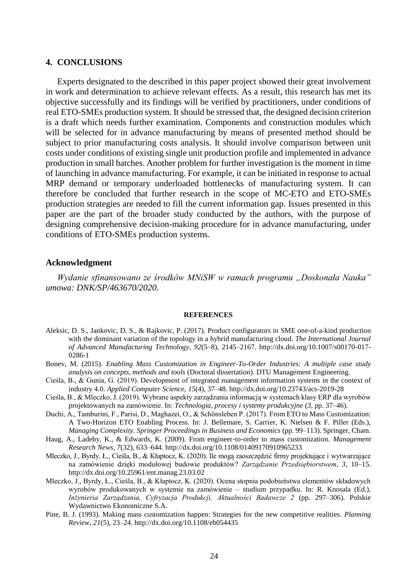#### **4. CONCLUSIONS**

Experts designated to the described in this paper project showed their great involvement in work and determination to achieve relevant effects. As a result, this research has met its objective successfully and its findings will be verified by practitioners, under conditions of real ETO-SMEs production system. It should be stressed that, the designed decision criterion is a draft which needs further examination. Components and construction modules which will be selected for in advance manufacturing by means of presented method should be subject to prior manufacturing costs analysis. It should involve comparison between unit costs under conditions of existing single unit production profile and implemented in advance production in small batches. Another problem for further investigation is the moment in time of launching in advance manufacturing. For example, it can be initiated in response to actual MRP demand or temporary underloaded bottlenecks of manufacturing system. It can therefore be concluded that further research in the scope of MC-ETO and ETO-SMEs production strategies are needed to fill the current information gap. Issues presented in this paper are the part of the broader study conducted by the authors, with the purpose of designing comprehensive decision-making procedure for in advance manufacturing, under conditions of ETO-SMEs production systems.

### **Acknowledgment**

*Wydanie sfinansowano ze środków MNiSW w ramach programu "Doskonała Nauka" umowa: DNK/SP/463670/2020.*

#### **REFERENCES**

- Aleksic, D. S., Jankovic, D. S., & Rajkovic, P. (2017). Product configurators in SME one-of-a-kind production with the dominant variation of the topology in a hybrid manufacturing cloud. *The International Journal of Advanced Manufacturing Technology*, *92*(5–8), 2145–2167. http://dx.doi.org/10.1007/s00170-017- 0286-1
- Bonev, M. (2015). *Enabling Mass Customization in Engineer-To-Order Industries: A multiple case study analysis on concepts, methods and tools* (Doctoral dissertation). DTU Management Engineering.
- Cieśla, B., & Gunia, G. (2019). Development of integrated management information systems in the context of industry 4.0. *Applied Computer Science*, *15*(4), 37–48. http://dx.doi.org/10.23743/acs-2019-28
- Cieśla, B., & Mleczko, J. (2019). Wybrane aspekty zarządzania informacją w systemach klasy ERP dla wyrobów projektowanych na zamówienie. In: *Technologia, procesy i systemy produkcyjne* (*3*, pp. 37–46).
- Duchi, A., Tamburini, F., Parisi, D., Maghazei, O., & Schönsleben P. (2017). From ETO to Mass Customization: A Two-Horizon ETO Enabling Process. In: J. Bellemare, S. Carrier, K. Nielsen & F. Piller (Eds.), *Managing Complexity. Springer Proceedings in Business and Economics* (pp. 99–113). Springer, Cham.
- Haug, A., Ladeby, K., & Edwards, K. (2009). From engineer‐to‐order to mass customization. *Management Research News*, *7*(32), 633–644. http://dx.doi.org/10.1108/01409170910965233
- Mleczko, J., Byrdy, Ł., Cieśla, B., & Kłaptocz, K. (2020). Ile mogą zaoszczędzić firmy projektujące i wytwarzające na zamówienie dzięki modułowej budowie produktów? *Zarządzanie Przedsiębiorstwem*, *3*, 10–15. http://dx.doi.org/10.25961/ent.manag.23.03.02
- Mleczko, J., Byrdy, Ł., Cieśla, B., & Kłaptocz, K. (2020). Ocena stopnia podobieństwa elementów składowych wyrobów produkowanych w systemie na zamówienie – studium przypadku. In: R. Knosala (Ed.), *Inżynieria Zarządzania, Cyfryzacja Produkcji, Aktualności Badawcze 2* (pp. 297–306). Polskie Wydawnictwo Ekonomiczne S.A.
- Pine, B. J. (1993). Making mass customization happen: Strategies for the new competitive realities. *Planning Review*, *21*(5), 23–24. http://dx.doi.org/10.1108/eb054435